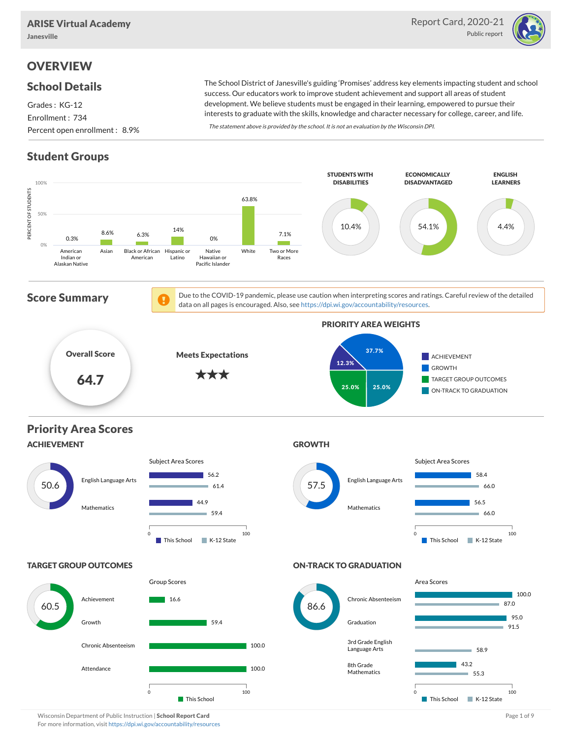Janesville



## **OVERVIEW**

#### School Details

Grades : KG-12 Enrollment : 734 Percent open enrollment : 8.9%

The School District of Janesville's guiding 'Promises' address key elements impacting student and school success. Our educators work to improve student achievement and support all areas of student development. We believe students must be engaged in their learning, empowered to pursue their interests to graduate with the skills, knowledge and character necessary for college, career, and life.

The statement above is provided by the school. It is not an evaluation by the Wisconsin DPI.

## Student Groups



Wisconsin Department of Public Instruction | School Report Card Page 1 of 9 and 2008 and 2008 and Page 1 of 9 and Page 1 of 9 and Page 1 of 9 and Page 1 of 9 and Page 1 of 9 and Page 1 of 9 and Page 1 of 9 and Page 1 of 9 For more information, visit <https://dpi.wi.gov/accountability/resources>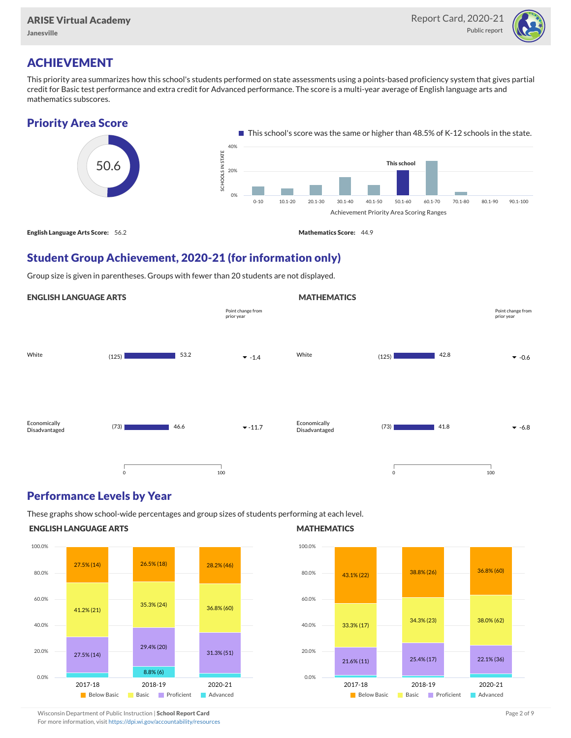Janesville



### ACHIEVEMENT

This priority area summarizes how this school's students performed on state assessments using a points-based proficiency system that gives partial credit for Basic test performance and extra credit for Advanced performance. The score is a multi-year average of English language arts and mathematics subscores.

#### Priority Area Score



#### Student Group Achievement, 2020-21 (for information only)

Group size is given in parentheses. Groups with fewer than 20 students are not displayed.

#### ENGLISH LANGUAGE ARTS



#### Performance Levels by Year

These graphs show school-wide percentages and group sizes of students performing at each level.

#### ENGLISH LANGUAGE ARTS



#### **MATHEMATICS**

**MATHEMATICS** 



Wisconsin Department of Public Instruction | School Report Card Page 2 of 9 and 2 of 9 and 2 of 9 and 2 of 9 and 2 of 9 and 2 of 9 and 2 of 9 and 2 of 9 and 2 of 9 and 2 of 9 and 2 of 9 and 2 of 9 and 2 of 9 and 2 of 9 and

For more information, visit <https://dpi.wi.gov/accountability/resources>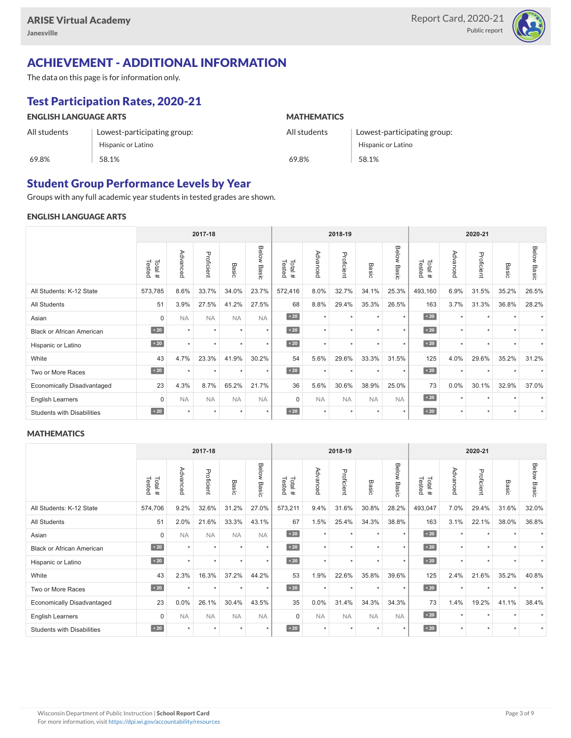

# ACHIEVEMENT - ADDITIONAL INFORMATION

The data on this page is for information only.

# Test Participation Rates, 2020-21

| <b>ENGLISH LANGUAGE ARTS</b> |                             | <b>MATHEMATICS</b> |                             |  |  |  |  |
|------------------------------|-----------------------------|--------------------|-----------------------------|--|--|--|--|
| All students                 | Lowest-participating group: | All students       | Lowest-participating group: |  |  |  |  |
|                              | Hispanic or Latino          |                    | Hispanic or Latino          |  |  |  |  |
| 69.8%                        | 58.1%                       | 69.8%              | 58.1%                       |  |  |  |  |

#### Student Group Performance Levels by Year

Groups with any full academic year students in tested grades are shown.

#### ENGLISH LANGUAGE ARTS

|                                   | 2017-18           |           |            |           | 2018-19        |                  |           |            | 2020-21   |                |                  |          |            |           |                    |
|-----------------------------------|-------------------|-----------|------------|-----------|----------------|------------------|-----------|------------|-----------|----------------|------------------|----------|------------|-----------|--------------------|
|                                   | Tested<br>Total # | Advanced  | Proficient | Basic     | Below<br>Basic | Tested<br>Total# | Advanced  | Proficient | Basic     | Below<br>Basic | Tested<br>Total# | Advanced | Proficient | Basic     | <b>Below Basic</b> |
| All Students: K-12 State          | 573,785           | 8.6%      | 33.7%      | 34.0%     | 23.7%          | 572,416          | 8.0%      | 32.7%      | 34.1%     | 25.3%          | 493,160          | 6.9%     | 31.5%      | 35.2%     | 26.5%              |
| All Students                      | 51                | 3.9%      | 27.5%      | 41.2%     | 27.5%          | 68               | 8.8%      | 29.4%      | 35.3%     | 26.5%          | 163              | 3.7%     | 31.3%      | 36.8%     | 28.2%              |
| Asian                             | $\mathbf 0$       | <b>NA</b> | <b>NA</b>  | <b>NA</b> | <b>NA</b>      | $\sim 20$        | $\star$   | $\star$    |           | $\star$        | $\angle 20$      | $\star$  | $\star$    |           |                    |
| <b>Black or African American</b>  | $\sim 20$         | $\ddot{}$ | ٠          | ٠         | $\star$        | $\sim 20$        | $\star$   | $\star$    | ٠         | $\star$        | $\sim 20$        | $\star$  | ٠          |           |                    |
| Hispanic or Latino                | $\angle 20$       | $\star$   | $\star$    | ٠         | $\star$        | $\angle 20$      | $\star$   | $\star$    | $\star$   | $\star$        | $\angle 20$      | $\star$  | $\star$    | $\ddot{}$ |                    |
| White                             | 43                | 4.7%      | 23.3%      | 41.9%     | 30.2%          | 54               | 5.6%      | 29.6%      | 33.3%     | 31.5%          | 125              | 4.0%     | 29.6%      | 35.2%     | 31.2%              |
| Two or More Races                 | $\sim 20$         | $\star$   | $\star$    | $\star$   | $\star$        | $\angle 20$      | $\star$   | $\star$    | $\star$   | $\star$        | $\sim 20$        | $\star$  | $\star$    |           |                    |
| <b>Economically Disadvantaged</b> | 23                | 4.3%      | 8.7%       | 65.2%     | 21.7%          | 36               | 5.6%      | 30.6%      | 38.9%     | 25.0%          | 73               | 0.0%     | 30.1%      | 32.9%     | 37.0%              |
| <b>English Learners</b>           | $\Omega$          | <b>NA</b> | <b>NA</b>  | <b>NA</b> | <b>NA</b>      | $\Omega$         | <b>NA</b> | <b>NA</b>  | <b>NA</b> | <b>NA</b>      | $\angle 20$      | $\star$  | $\star$    | $\ddot{}$ |                    |
| <b>Students with Disabilities</b> | $\sim 20$         | $\star$   | $\star$    | $\star$   | $\star$        | $\angle 20$      | $\star$   | $\star$    | $\ddot{}$ | $\star$        | $\angle 20$      | $\star$  | $\star$    | $\star$   |                    |

#### **MATHEMATICS**

|                                   | 2017-18          |           |            |           | 2018-19        |                  |           |            | 2020-21   |                |                  |          |            |           |                    |
|-----------------------------------|------------------|-----------|------------|-----------|----------------|------------------|-----------|------------|-----------|----------------|------------------|----------|------------|-----------|--------------------|
|                                   | Tested<br>Total# | Advanced  | Proficient | Basic     | Below<br>Basic | Tested<br>Total# | Advanced  | Proficient | Basic     | Below<br>Basic | Tested<br>Total# | Advanced | Proficient | Basic     | <b>Below Basic</b> |
| All Students: K-12 State          | 574,706          | 9.2%      | 32.6%      | 31.2%     | 27.0%          | 573,211          | 9.4%      | 31.6%      | 30.8%     | 28.2%          | 493,047          | 7.0%     | 29.4%      | 31.6%     | 32.0%              |
| All Students                      | 51               | 2.0%      | 21.6%      | 33.3%     | 43.1%          | 67               | 1.5%      | 25.4%      | 34.3%     | 38.8%          | 163              | 3.1%     | 22.1%      | 38.0%     | 36.8%              |
| Asian                             | $\mathbf 0$      | <b>NA</b> | <b>NA</b>  | <b>NA</b> | <b>NA</b>      | $\sim 20$        | $\star$   | $\star$    | $\ddot{}$ | ٠              | $\sim 20$        | $\star$  | $\star$    |           |                    |
| <b>Black or African American</b>  | $\sim 20$        | $\ddot{}$ | $\star$    | $\star$   | $\star$        | $\sim 20$        | $\star$   | $\star$    |           | $\star$        | $\sim 20$        | $\star$  | $\star$    |           |                    |
| Hispanic or Latino                | $\sim 20$        | ÷         | ٠          | ٠         | $\star$        | $\angle 20$      | $\star$   | $\star$    | ٠         | $\star$        | $\angle 20$      | $\star$  | $\star$    | $\ddot{}$ |                    |
| White                             | 43               | 2.3%      | 16.3%      | 37.2%     | 44.2%          | 53               | 1.9%      | 22.6%      | 35.8%     | 39.6%          | 125              | 2.4%     | 21.6%      | 35.2%     | 40.8%              |
| Two or More Races                 | $\sim 20$        | $\star$   | $\star$    | $\star$   | $\star$        | $\angle 20$      | $\star$   | $\star$    | $\star$   | $\star$        | $\angle 20$      | $\star$  | $\star$    | $\star$   | $\star$            |
| <b>Economically Disadvantaged</b> | 23               | $0.0\%$   | 26.1%      | 30.4%     | 43.5%          | 35               | 0.0%      | 31.4%      | 34.3%     | 34.3%          | 73               | 1.4%     | 19.2%      | 41.1%     | 38.4%              |
| <b>English Learners</b>           | $\Omega$         | <b>NA</b> | <b>NA</b>  | <b>NA</b> | <b>NA</b>      | $\Omega$         | <b>NA</b> | <b>NA</b>  | <b>NA</b> | <b>NA</b>      | $\angle 20$      | $\star$  | $\star$    |           |                    |
| <b>Students with Disabilities</b> | $\leq 20$        | $\star$   | $\star$    | $\star$   | $\star$        | $\angle 20$      | $\star$   | $\star$    | $\star$   | $\star$        | $\sim 20$        | $\star$  | $\star$    | $\ddot{}$ |                    |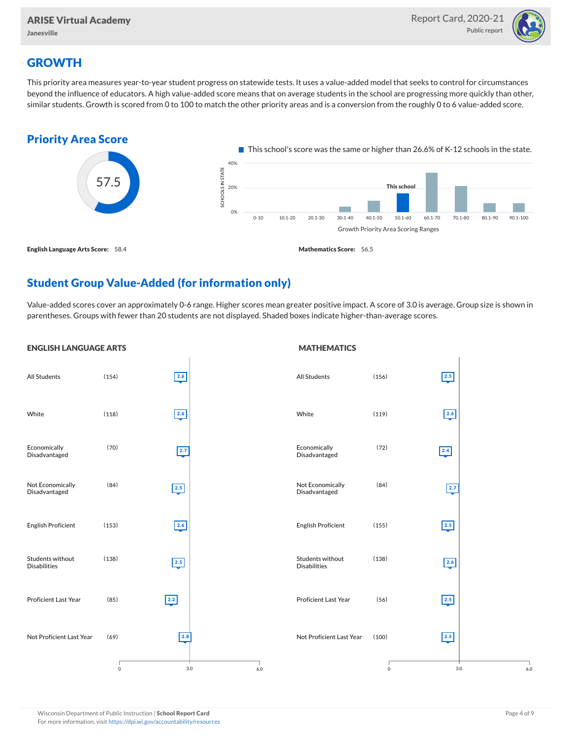

### **GROWTH**

This priority area measures year-to-year student progress on statewide tests. It uses a value-added model that seeks to control for circumstances beyond the influence of educators. A high value-added score means that on average students in the school are progressing more quickly than other, similar students. Growth is scored from 0 to 100 to match the other priority areas and is a conversion from the roughly 0 to 6 value-added score.



### Student Group Value-Added (for information only)

Value-added scores cover an approximately 0-6 range. Higher scores mean greater positive impact. A score of 3.0 is average. Group size is shown in parentheses. Groups with fewer than 20 students are not displayed. Shaded boxes indicate higher-than-average scores.

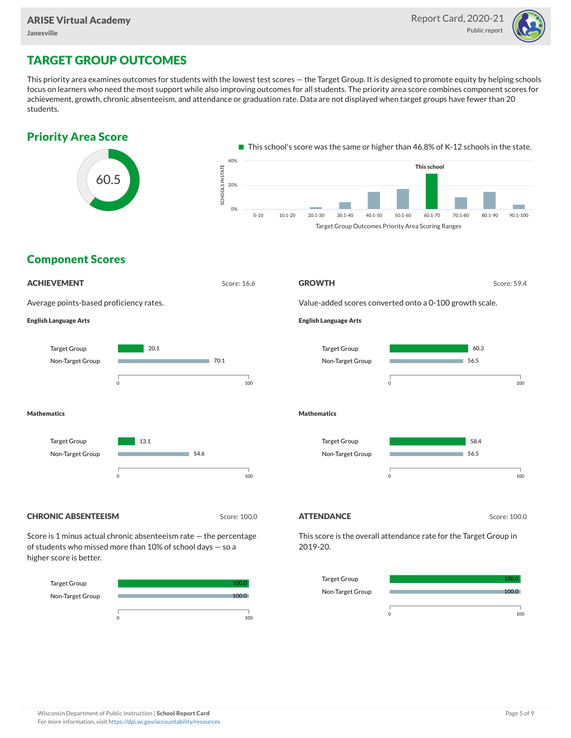

## TARGET GROUP OUTCOMES

This priority area examines outcomes for students with the lowest test scores — the Target Group. It is designed to promote equity by helping schools focus on learners who need the most support while also improving outcomes for all students. The priority area score combines component scores for achievement, growth, chronic absenteeism, and attendance or graduation rate. Data are not displayed when target groups have fewer than 20 students.



Target Group Non-Target Group



100.0 100.0

0 100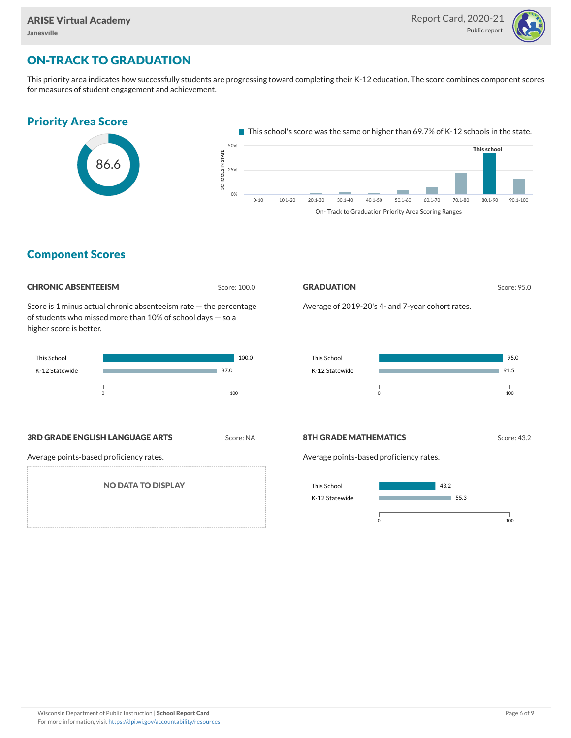

## ON-TRACK TO GRADUATION

This priority area indicates how successfully students are progressing toward completing their K-12 education. The score combines component scores for measures of student engagement and achievement.



On- Track to Graduation Priority Area Scoring Ranges

### Component Scores

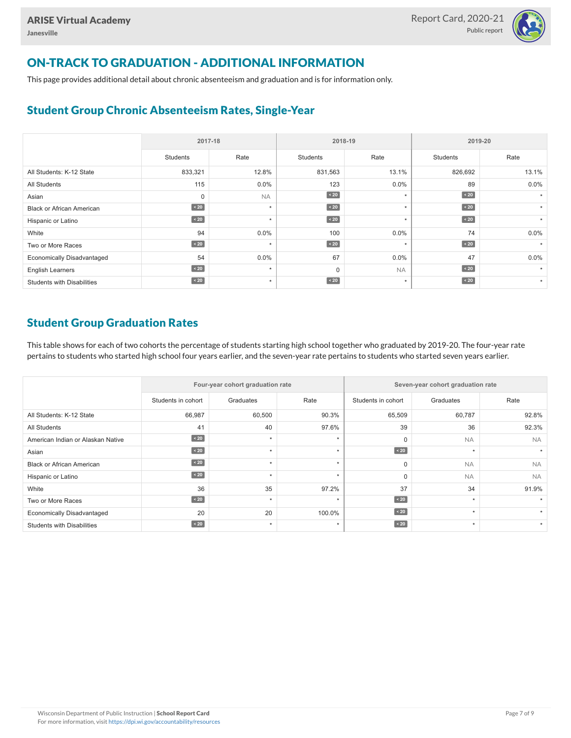

## ON-TRACK TO GRADUATION - ADDITIONAL INFORMATION

This page provides additional detail about chronic absenteeism and graduation and is for information only.

### Student Group Chronic Absenteeism Rates, Single-Year

|                                   | 2017-18   |           |                 | 2018-19   | 2019-20         |         |  |
|-----------------------------------|-----------|-----------|-----------------|-----------|-----------------|---------|--|
|                                   | Students  | Rate      | <b>Students</b> | Rate      | <b>Students</b> | Rate    |  |
| All Students: K-12 State          | 833,321   | 12.8%     | 831,563         | 13.1%     | 826,692         | 13.1%   |  |
| All Students                      | 115       | $0.0\%$   | 123             | $0.0\%$   | 89              | 0.0%    |  |
| Asian                             | 0         | <b>NA</b> | $\sim 20$       | $\star$   | $\sim 20$       |         |  |
| <b>Black or African American</b>  | $\sim 20$ | $\star$   | $\sim 20$       | $\star$   | $\angle 20$     | $\star$ |  |
| Hispanic or Latino                | $\sim 20$ | $\star$   | $\sim 20$       | $\star$   | $\angle 20$     | $\star$ |  |
| White                             | 94        | $0.0\%$   | 100             | 0.0%      | 74              | 0.0%    |  |
| Two or More Races                 | $\sim 20$ | $\star$   | $\sim 20$       | $\star$   | $\angle 20$     |         |  |
| <b>Economically Disadvantaged</b> | 54        | $0.0\%$   | 67              | $0.0\%$   | 47              | 0.0%    |  |
| <b>English Learners</b>           | $\sim 20$ | $\star$   | $\mathbf 0$     | <b>NA</b> | $\angle 20$     |         |  |
| <b>Students with Disabilities</b> | $\sim 20$ | $\star$   | $\sim 20$       | $\star$   | $\sim 20$       | $\star$ |  |

### Student Group Graduation Rates

This table shows for each of two cohorts the percentage of students starting high school together who graduated by 2019-20. The four-year rate pertains to students who started high school four years earlier, and the seven-year rate pertains to students who started seven years earlier.

|                                   |                    | Four-year cohort graduation rate |         | Seven-year cohort graduation rate |           |           |  |  |
|-----------------------------------|--------------------|----------------------------------|---------|-----------------------------------|-----------|-----------|--|--|
|                                   | Students in cohort | Graduates                        | Rate    | Students in cohort                | Graduates | Rate      |  |  |
| All Students: K-12 State          | 66,987             | 60,500                           | 90.3%   | 65,509                            | 60,787    | 92.8%     |  |  |
| All Students                      | 41                 | 40                               | 97.6%   | 39                                | 36        | 92.3%     |  |  |
| American Indian or Alaskan Native | $\angle 20$        | $\star$                          | ÷       | $\mathbf 0$                       | <b>NA</b> | <b>NA</b> |  |  |
| Asian                             | $\angle 20$        | $\star$                          |         | $\angle 20$                       | $\star$   |           |  |  |
| <b>Black or African American</b>  | $\angle 20$        | $\star$                          |         | 0                                 | <b>NA</b> | <b>NA</b> |  |  |
| Hispanic or Latino                | $\angle 20$        | $\star$                          | $\star$ | $\Omega$                          | <b>NA</b> | <b>NA</b> |  |  |
| White                             | 36                 | 35                               | 97.2%   | 37                                | 34        | 91.9%     |  |  |
| Two or More Races                 | $\angle 20$        | ٠                                |         | $\leq 20$                         | $\star$   |           |  |  |
| <b>Economically Disadvantaged</b> | 20                 | 20                               | 100.0%  | $\leq 20$                         | $\star$   |           |  |  |
| <b>Students with Disabilities</b> | $\angle 20$        | ٠                                | ٠       | $\angle 20$                       | $\star$   |           |  |  |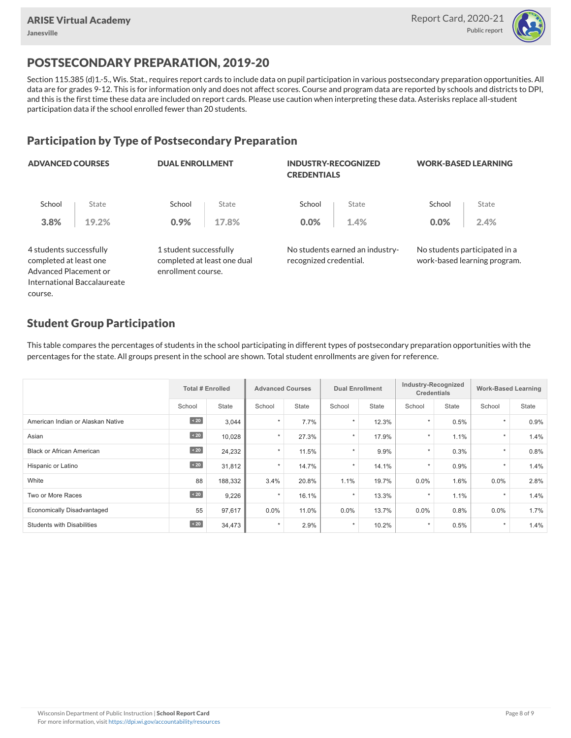

## POSTSECONDARY PREPARATION, 2019-20

Section 115.385 (d)1.-5., Wis. Stat., requires report cards to include data on pupil participation in various postsecondary preparation opportunities. All data are for grades 9-12. This is for information only and does not affect scores. Course and program data are reported by schools and districts to DPI, and this is the first time these data are included on report cards. Please use caution when interpreting these data. Asterisks replace all-student participation data if the school enrolled fewer than 20 students.

#### Participation by Type of Postsecondary Preparation

| <b>ADVANCED COURSES</b>                                                    |                             | <b>DUAL ENROLLMENT</b>                                                      |       | <b>INDUSTRY-RECOGNIZED</b><br><b>CREDENTIALS</b> |                                 | <b>WORK-BASED LEARNING</b> |                                                               |  |
|----------------------------------------------------------------------------|-----------------------------|-----------------------------------------------------------------------------|-------|--------------------------------------------------|---------------------------------|----------------------------|---------------------------------------------------------------|--|
| School                                                                     | State                       | School                                                                      | State | School                                           | State                           | School                     | State                                                         |  |
| 3.8%                                                                       | 19.2%                       | 0.9%                                                                        | 17.8% | 0.0%                                             | 1.4%                            | 0.0%                       | 2.4%                                                          |  |
| 4 students successfully<br>completed at least one<br>Advanced Placement or |                             | 1 student successfully<br>completed at least one dual<br>enrollment course. |       | recognized credential.                           | No students earned an industry- |                            | No students participated in a<br>work-based learning program. |  |
|                                                                            | International Baccalaureate |                                                                             |       |                                                  |                                 |                            |                                                               |  |

#### Student Group Participation

course.

This table compares the percentages of students in the school participating in different types of postsecondary preparation opportunities with the percentages for the state. All groups present in the school are shown. Total student enrollments are given for reference.

|                                   | <b>Total # Enrolled</b> |              |         | <b>Advanced Courses</b> |         | <b>Dual Enrollment</b> |         | Industry-Recognized<br><b>Credentials</b> |         | <b>Work-Based Learning</b> |
|-----------------------------------|-------------------------|--------------|---------|-------------------------|---------|------------------------|---------|-------------------------------------------|---------|----------------------------|
|                                   | School                  | <b>State</b> | School  | <b>State</b>            | School  | <b>State</b>           | School  | State                                     | School  | <b>State</b>               |
| American Indian or Alaskan Native | $\angle 20$             | 3,044        | $\star$ | 7.7%                    | $\star$ | 12.3%                  | $\star$ | 0.5%                                      | $\star$ | 0.9%                       |
| Asian                             | $\sim 20$               | 10,028       | $\star$ | 27.3%                   | $\star$ | 17.9%                  | $\star$ | 1.1%                                      | $\star$ | 1.4%                       |
| <b>Black or African American</b>  | $\sim 20$               | 24,232       | $\star$ | 11.5%                   | ÷       | 9.9%                   | $\star$ | 0.3%                                      | $\star$ | 0.8%                       |
| Hispanic or Latino                | $\angle 20$             | 31,812       | $\star$ | 14.7%                   | ÷       | 14.1%                  | $\star$ | 0.9%                                      | $\star$ | 1.4%                       |
| White                             | 88                      | 188,332      | 3.4%    | 20.8%                   | 1.1%    | 19.7%                  | 0.0%    | 1.6%                                      | $0.0\%$ | 2.8%                       |
| Two or More Races                 | $\angle 20$             | 9,226        | $\star$ | 16.1%                   | $\star$ | 13.3%                  |         | 1.1%                                      | $\star$ | 1.4%                       |
| <b>Economically Disadvantaged</b> | 55                      | 97,617       | $0.0\%$ | 11.0%                   | 0.0%    | 13.7%                  | 0.0%    | 0.8%                                      | $0.0\%$ | 1.7%                       |
| <b>Students with Disabilities</b> | $\sim 20$               | 34,473       | $\star$ | 2.9%                    | $\star$ | 10.2%                  | $\star$ | 0.5%                                      | $\star$ | 1.4%                       |